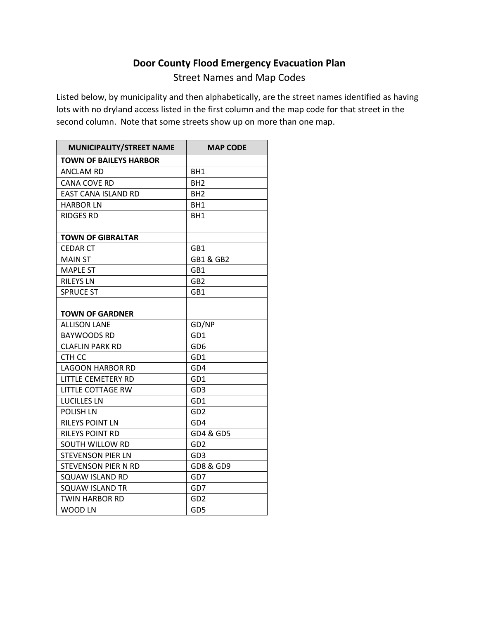## **Door County Flood Emergency Evacuation Plan**

Street Names and Map Codes

Listed below, by municipality and then alphabetically, are the street names identified as having lots with no dryland access listed in the first column and the map code for that street in the second column. Note that some streets show up on more than one map.

| MUNICIPALITY/STREET NAME      | <b>MAP CODE</b> |
|-------------------------------|-----------------|
| <b>TOWN OF BAILEYS HARBOR</b> |                 |
| <b>ANCLAM RD</b>              | BH <sub>1</sub> |
| <b>CANA COVE RD</b>           | BH <sub>2</sub> |
| <b>EAST CANA ISLAND RD</b>    | BH <sub>2</sub> |
| <b>HARBOR LN</b>              | BH1             |
| <b>RIDGES RD</b>              | BH1             |
|                               |                 |
| <b>TOWN OF GIBRALTAR</b>      |                 |
| <b>CEDAR CT</b>               | GB1             |
| <b>MAIN ST</b>                | GB1 & GB2       |
| <b>MAPLE ST</b>               | GB1             |
| <b>RILEYS LN</b>              | GB2             |
| <b>SPRUCE ST</b>              | GB1             |
|                               |                 |
| <b>TOWN OF GARDNER</b>        |                 |
| <b>ALLISON LANE</b>           | GD/NP           |
| <b>BAYWOODS RD</b>            | GD1             |
| <b>CLAFLIN PARK RD</b>        | GD6             |
| CTH CC                        | GD1             |
| <b>LAGOON HARBOR RD</b>       | GD4             |
| LITTLE CEMETERY RD            | GD1             |
| <b>LITTLE COTTAGE RW</b>      | GD3             |
| <b>LUCILLES LN</b>            | GD1             |
| <b>POLISH LN</b>              | GD2             |
| RILEYS POINT LN               | GD4             |
| RILEYS POINT RD               | GD4 & GD5       |
| <b>SOUTH WILLOW RD</b>        | GD <sub>2</sub> |
| <b>STEVENSON PIER LN</b>      | GD3             |
| STEVENSON PIER N RD           | GD8 & GD9       |
| <b>SQUAW ISLAND RD</b>        | GD7             |
| <b>SQUAW ISLAND TR</b>        | GD7             |
| <b>TWIN HARBOR RD</b>         | GD2             |
| <b>WOOD LN</b>                | GD5             |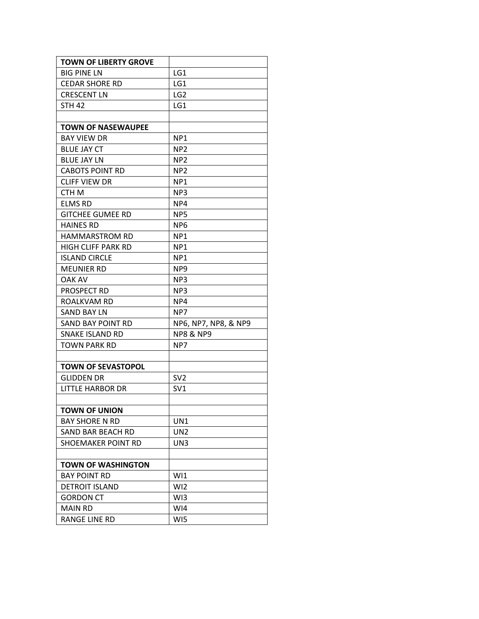| <b>TOWN OF LIBERTY GROVE</b> |                      |
|------------------------------|----------------------|
| <b>BIG PINE LN</b>           | LG1                  |
| <b>CEDAR SHORE RD</b>        | LG1                  |
| <b>CRESCENT LN</b>           | LG <sub>2</sub>      |
| <b>STH 42</b>                | LG1                  |
|                              |                      |
| <b>TOWN OF NASEWAUPEE</b>    |                      |
| <b>BAY VIEW DR</b>           | NP <sub>1</sub>      |
| <b>BLUE JAY CT</b>           | NP <sub>2</sub>      |
| <b>BLUE JAY LN</b>           | NP <sub>2</sub>      |
| <b>CABOTS POINT RD</b>       | NP <sub>2</sub>      |
| <b>CLIFF VIEW DR</b>         | NP <sub>1</sub>      |
| CTH M                        | NP <sub>3</sub>      |
| <b>ELMS RD</b>               | NP4                  |
| <b>GITCHEE GUMEE RD</b>      | NP <sub>5</sub>      |
| <b>HAINES RD</b>             | NP <sub>6</sub>      |
| <b>HAMMARSTROM RD</b>        | NP <sub>1</sub>      |
| HIGH CLIFF PARK RD           | NP <sub>1</sub>      |
| <b>ISLAND CIRCLE</b>         | NP <sub>1</sub>      |
| <b>MEUNIER RD</b>            | NP <sub>9</sub>      |
| <b>OAK AV</b>                | NP <sub>3</sub>      |
| <b>PROSPECT RD</b>           | NP3                  |
| ROALKVAM RD                  | NP4                  |
| SAND BAY LN                  | NP7                  |
| <b>SAND BAY POINT RD</b>     | NP6, NP7, NP8, & NP9 |
| SNAKE ISLAND RD              | <b>NP8 &amp; NP9</b> |
| TOWN PARK RD                 | NP7                  |
|                              |                      |
| <b>TOWN OF SEVASTOPOL</b>    |                      |
| <b>GLIDDEN DR</b>            | SV <sub>2</sub>      |
| <b>LITTLE HARBOR DR</b>      | SV <sub>1</sub>      |
|                              |                      |
| <b>TOWN OF UNION</b>         |                      |
| <b>BAY SHORE N RD</b>        | UN1                  |
| SAND BAR BEACH RD            | UN <sub>2</sub>      |
| SHOEMAKER POINT RD           | UN3                  |
|                              |                      |
| <b>TOWN OF WASHINGTON</b>    |                      |
| <b>BAY POINT RD</b>          | W <sub>1</sub>       |
| <b>DETROIT ISLAND</b>        | WI <sub>2</sub>      |
| <b>GORDON CT</b>             | W <sub>13</sub>      |
| <b>MAIN RD</b>               | WI4                  |
| <b>RANGE LINE RD</b>         | WI5                  |